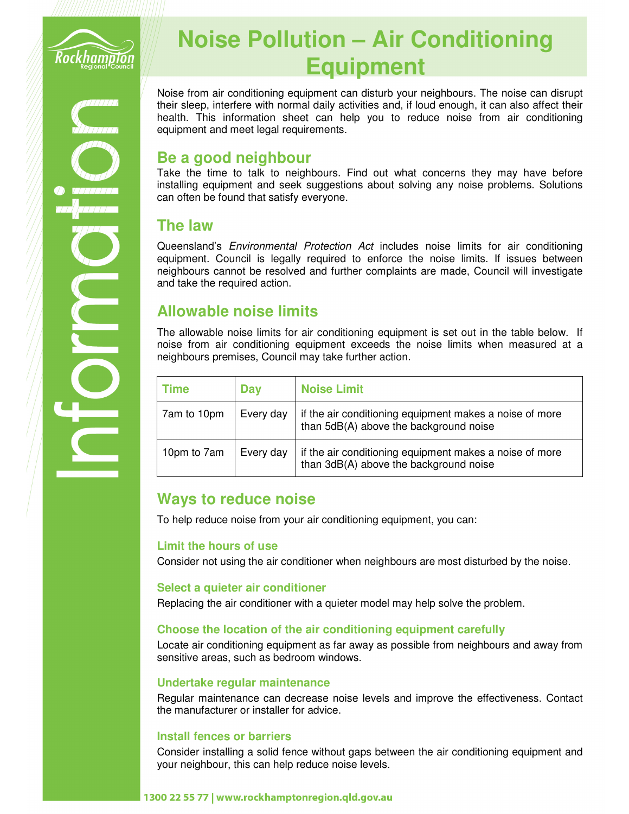

# **Noise Pollution – Air Conditioning Equipment**

Noise from air conditioning equipment can disturb your neighbours. The noise can disrupt their sleep, interfere with normal daily activities and, if loud enough, it can also affect their health. This information sheet can help you to reduce noise from air conditioning equipment and meet legal requirements.

## **Be a good neighbour**

Take the time to talk to neighbours. Find out what concerns they may have before installing equipment and seek suggestions about solving any noise problems. Solutions can often be found that satisfy everyone.

## **The law**

Queensland's Environmental Protection Act includes noise limits for air conditioning equipment. Council is legally required to enforce the noise limits. If issues between neighbours cannot be resolved and further complaints are made, Council will investigate and take the required action.

# **Allowable noise limits**

The allowable noise limits for air conditioning equipment is set out in the table below. If noise from air conditioning equipment exceeds the noise limits when measured at a neighbours premises, Council may take further action.

| Time        | <b>Day</b> | <b>Noise Limit</b>                                                                                |
|-------------|------------|---------------------------------------------------------------------------------------------------|
| 7am to 10pm | Every day  | if the air conditioning equipment makes a noise of more<br>than 5dB(A) above the background noise |
| 10pm to 7am | Every day  | if the air conditioning equipment makes a noise of more<br>than 3dB(A) above the background noise |

## **Ways to reduce noise**

To help reduce noise from your air conditioning equipment, you can:

#### **Limit the hours of use**

Consider not using the air conditioner when neighbours are most disturbed by the noise.

#### **Select a quieter air conditioner**

Replacing the air conditioner with a quieter model may help solve the problem.

#### **Choose the location of the air conditioning equipment carefully**

Locate air conditioning equipment as far away as possible from neighbours and away from sensitive areas, such as bedroom windows.

#### **Undertake regular maintenance**

Regular maintenance can decrease noise levels and improve the effectiveness. Contact the manufacturer or installer for advice.

#### **Install fences or barriers**

Consider installing a solid fence without gaps between the air conditioning equipment and your neighbour, this can help reduce noise levels.